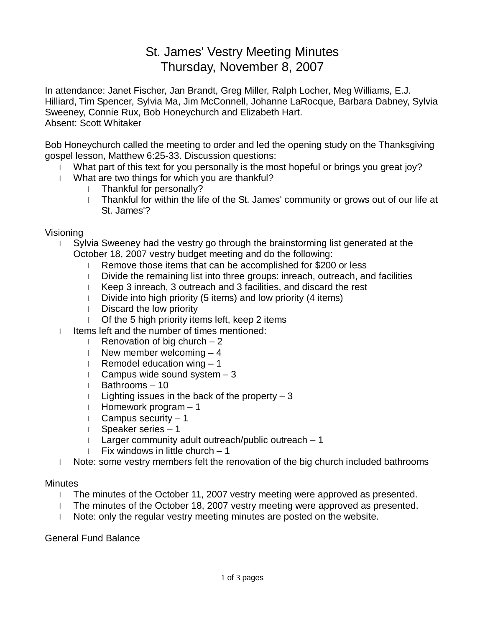# St. James' Vestry Meeting Minutes Thursday, November 8, 2007

In attendance: Janet Fischer, Jan Brandt, Greg Miller, Ralph Locher, Meg Williams, E.J. Hilliard, Tim Spencer, Sylvia Ma, Jim McConnell, Johanne LaRocque, Barbara Dabney, Sylvia Sweeney, Connie Rux, Bob Honeychurch and Elizabeth Hart. Absent: Scott Whitaker

Bob Honeychurch called the meeting to order and led the opening study on the Thanksgiving gospel lesson, Matthew 6:25-33. Discussion questions:

- I What part of this text for you personally is the most hopeful or brings you great joy?
- l What are two things for which you are thankful?
	- l Thankful for personally?
	- l Thankful for within the life of the St. James' community or grows out of our life at St. James'?

## Visioning

- l Sylvia Sweeney had the vestry go through the brainstorming list generated at the October 18, 2007 vestry budget meeting and do the following:
	- l Remove those items that can be accomplished for \$200 or less
	- l Divide the remaining list into three groups: inreach, outreach, and facilities
	- l Keep 3 inreach, 3 outreach and 3 facilities, and discard the rest
	- l Divide into high priority (5 items) and low priority (4 items)
	- l Discard the low priority
	- l Of the 5 high priority items left, keep 2 items
- l Items left and the number of times mentioned:
	- **I** Renovation of big church  $-2$
	- I New member welcoming  $-4$
	- **I** Remodel education wing  $-1$
	- I Campus wide sound system  $-3$
	- l Bathrooms 10
	- I Lighting issues in the back of the property  $-3$
	- l Homework program 1
	- l Campus security 1
	- l Speaker series 1
	- I Larger community adult outreach/public outreach  $-1$
	- **Fix windows in little church 1**
- l Note: some vestry members felt the renovation of the big church included bathrooms

## **Minutes**

- l The minutes of the October 11, 2007 vestry meeting were approved as presented.
- l The minutes of the October 18, 2007 vestry meeting were approved as presented.
- l Note: only the regular vestry meeting minutes are posted on the website.

General Fund Balance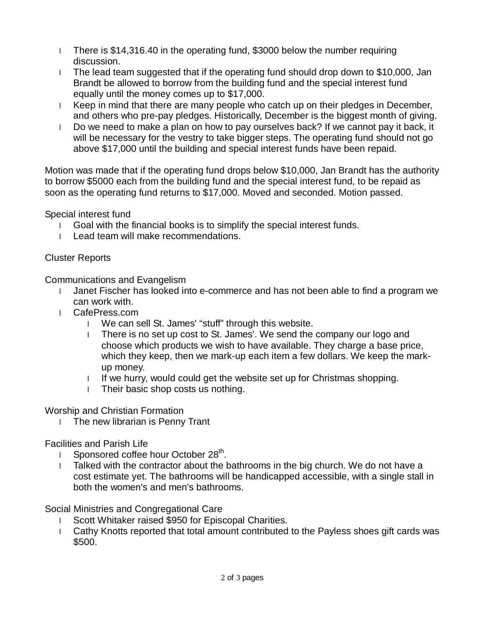- l There is \$14,316.40 in the operating fund, \$3000 below the number requiring discussion.
- l The lead team suggested that if the operating fund should drop down to \$10,000, Jan Brandt be allowed to borrow from the building fund and the special interest fund equally until the money comes up to \$17,000.
- l Keep in mind that there are many people who catch up on their pledges in December, and others who pre-pay pledges. Historically, December is the biggest month of giving.
- l Do we need to make a plan on how to pay ourselves back? If we cannot pay it back, it will be necessary for the vestry to take bigger steps. The operating fund should not go above \$17,000 until the building and special interest funds have been repaid.

Motion was made that if the operating fund drops below \$10,000, Jan Brandt has the authority to borrow \$5000 each from the building fund and the special interest fund, to be repaid as soon as the operating fund returns to \$17,000. Moved and seconded. Motion passed.

Special interest fund

- l Goal with the financial books is to simplify the special interest funds.
- l Lead team will make recommendations.

## Cluster Reports

Communications and Evangelism

- l Janet Fischer has looked into e-commerce and has not been able to find a program we can work with.
- l CafePress.com
	- l We can sell St. James' "stuff" through this website.
	- l There is no set up cost to St. James'. We send the company our logo and choose which products we wish to have available. They charge a base price, which they keep, then we mark-up each item a few dollars. We keep the markup money.
	- l If we hurry, would could get the website set up for Christmas shopping.
	- l Their basic shop costs us nothing.

Worship and Christian Formation

l The new librarian is Penny Trant

Facilities and Parish Life

- **I** Sponsored coffee hour October 28<sup>th</sup>.
- l Talked with the contractor about the bathrooms in the big church. We do not have a cost estimate yet. The bathrooms will be handicapped accessible, with a single stall in both the women's and men's bathrooms.

Social Ministries and Congregational Care

- l Scott Whitaker raised \$950 for Episcopal Charities.
- l Cathy Knotts reported that total amount contributed to the Payless shoes gift cards was \$500.